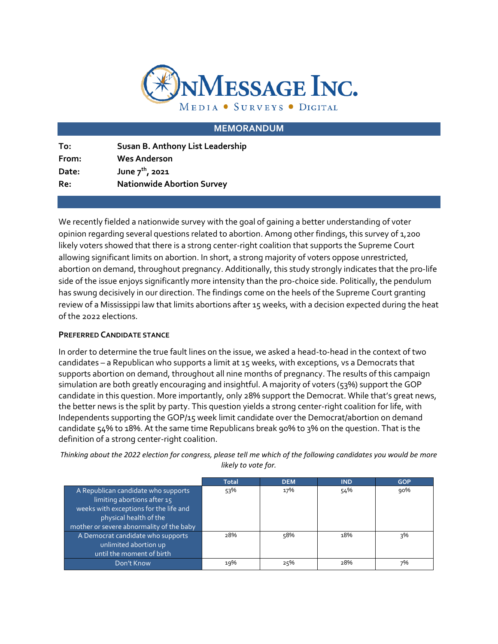

### **MEMORANDUM**

| To:   | Susan B. Anthony List Leadership  |
|-------|-----------------------------------|
| From: | <b>Wes Anderson</b>               |
| Date: | June $7^{th}$ , 2021              |
| Re:   | <b>Nationwide Abortion Survey</b> |
|       |                                   |

We recently fielded a nationwide survey with the goal of gaining a better understanding of voter opinion regarding several questions related to abortion. Among other findings, this survey of 1,200 likely voters showed that there is a strong center-right coalition that supports the Supreme Court allowing significant limits on abortion. In short, a strong majority of voters oppose unrestricted, abortion on demand, throughout pregnancy. Additionally, this study strongly indicates that the pro-life side of the issue enjoys significantly more intensity than the pro-choice side. Politically, the pendulum has swung decisively in our direction. The findings come on the heels of the Supreme Court granting review of a Mississippi law that limits abortions after 15 weeks, with a decision expected during the heat of the 2022 elections.

#### **PREFERRED CANDIDATE STANCE**

In order to determine the true fault lines on the issue, we asked a head-to-head in the context of two candidates – a Republican who supports a limit at 15 weeks, with exceptions, vs a Democrats that supports abortion on demand, throughout all nine months of pregnancy. The results of this campaign simulation are both greatly encouraging and insightful. A majority of voters (53%) support the GOP candidate in this question. More importantly, only 28% support the Democrat. While that's great news, the better news is the split by party. This question yields a strong center-right coalition for life, with Independents supporting the GOP/15 week limit candidate over the Democrat/abortion on demand candidate 54% to 18%. At the same time Republicans break 90% to 3% on the question. That is the definition of a strong center-right coalition.

*Thinking about the 2022 election for congress, please tell me which of the following candidates you would be more likely to vote for.*

|                                          | <b>Total</b> | <b>DEM</b> | <b>IND</b> | <b>GOP</b> |
|------------------------------------------|--------------|------------|------------|------------|
| A Republican candidate who supports      | 53%          | 17%        | 54%        | 90%        |
| limiting abortions after 15              |              |            |            |            |
| weeks with exceptions for the life and   |              |            |            |            |
| physical health of the                   |              |            |            |            |
| mother or severe abnormality of the baby |              |            |            |            |
| A Democrat candidate who supports        | 28%          | 58%        | 18%        | 3%         |
| unlimited abortion up                    |              |            |            |            |
| until the moment of birth                |              |            |            |            |
| Don't Know                               | 19%          | 25%        | 28%        | 7%         |
|                                          |              |            |            |            |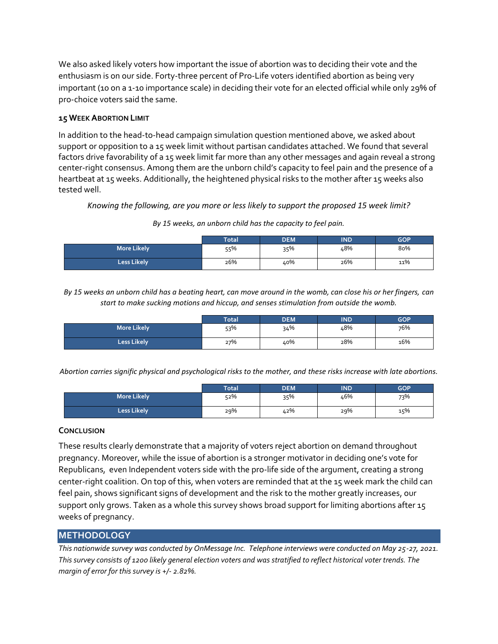We also asked likely voters how important the issue of abortion was to deciding their vote and the enthusiasm is on our side. Forty-three percent of Pro-Life voters identified abortion as being very important (10 on a 1-10 importance scale) in deciding their vote for an elected official while only 29% of pro-choice voters said the same.

## **15 WEEK ABORTION LIMIT**

In addition to the head-to-head campaign simulation question mentioned above, we asked about support or opposition to a 15 week limit without partisan candidates attached. We found that several factors drive favorability of a 15 week limit far more than any other messages and again reveal a strong center-right consensus. Among them are the unborn child's capacity to feel pain and the presence of a heartbeat at 15 weeks. Additionally, the heightened physical risks to the mother after 15 weeks also tested well.

*Knowing the following, are you more or less likely to support the proposed 15 week limit?*

*By 15 weeks, an unborn child has the capacity to feel pain.* 

|                    | <b>Total</b> | <b>DEM</b> | <b>IND</b> | <b>GOP</b> |
|--------------------|--------------|------------|------------|------------|
| <b>More Likely</b> | 55%          | 35%        | 48%        | 80%        |
| <b>Less Likely</b> | 26%          | 40%        | 26%        | 11%        |

*By 15 weeks an unborn child has a beating heart, can move around in the womb, can close his or her fingers, can start to make sucking motions and hiccup, and senses stimulation from outside the womb.*

|                    | <b>Total</b> | <b>DEM</b> | IND | <b>GOP</b> |
|--------------------|--------------|------------|-----|------------|
| <b>More Likely</b> | 53%          | 34%        | 48% | 76%        |
| <b>Less Likely</b> | 27%          | 40%        | 28% | 16%        |

*Abortion carries signific physical and psychological risks to the mother, and these risks increase with late abortions.* 

|                    | <b>Total</b> | <b>DEM</b> | IND | <b>GOP</b> |
|--------------------|--------------|------------|-----|------------|
| <b>More Likely</b> | 52%          | 35%        | 46% | 73%        |
| <b>Less Likely</b> | 29%          | 42%        | 29% | 15%        |

#### **CONCLUSION**

These results clearly demonstrate that a majority of voters reject abortion on demand throughout pregnancy. Moreover, while the issue of abortion is a stronger motivator in deciding one's vote for Republicans, even Independent voters side with the pro-life side of the argument, creating a strong center-right coalition. On top of this, when voters are reminded that at the 15 week mark the child can feel pain, shows significant signs of development and the risk to the mother greatly increases, our support only grows. Taken as a whole this survey shows broad support for limiting abortions after 15 weeks of pregnancy.

## **METHODOLOGY**

*This nationwide survey was conducted by OnMessage Inc. Telephone interviews were conducted on May 25-27, 2021. This survey consists of 1200 likely general election voters and was stratified to reflect historical voter trends. The margin of error for this survey is +/- 2.82%.*